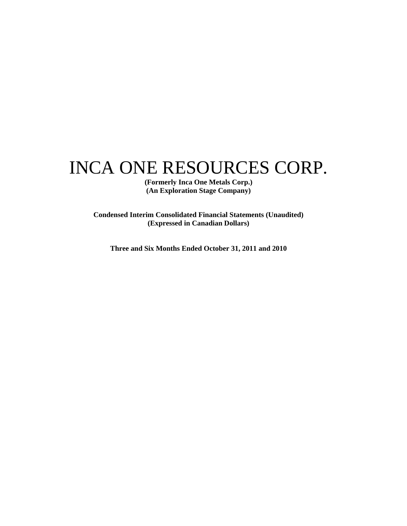# INCA ONE RESOURCES CORP.

**(Formerly Inca One Metals Corp.) (An Exploration Stage Company)** 

**Condensed Interim Consolidated Financial Statements (Unaudited) (Expressed in Canadian Dollars)** 

**Three and Six Months Ended October 31, 2011 and 2010**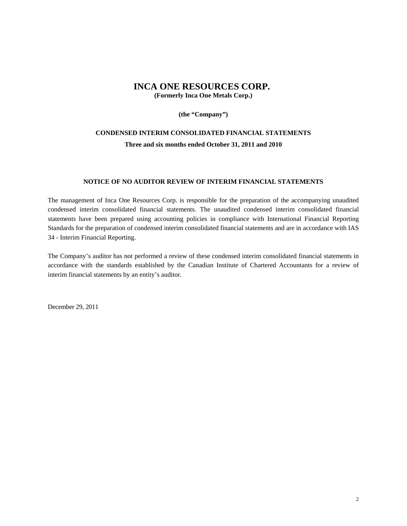**(the "Company")** 

### **CONDENSED INTERIM CONSOLIDATED FINANCIAL STATEMENTS Three and six months ended October 31, 2011 and 2010**

### **NOTICE OF NO AUDITOR REVIEW OF INTERIM FINANCIAL STATEMENTS**

The management of Inca One Resources Corp. is responsible for the preparation of the accompanying unaudited condensed interim consolidated financial statements. The unaudited condensed interim consolidated financial statements have been prepared using accounting policies in compliance with International Financial Reporting Standards for the preparation of condensed interim consolidated financial statements and are in accordance with IAS 34 - Interim Financial Reporting.

The Company's auditor has not performed a review of these condensed interim consolidated financial statements in accordance with the standards established by the Canadian Institute of Chartered Accountants for a review of interim financial statements by an entity's auditor.

December 29, 2011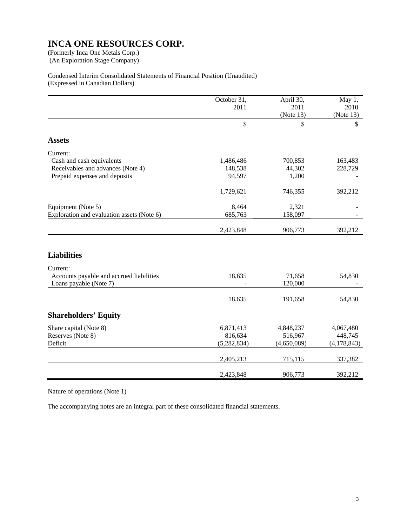(An Exploration Stage Company)

### Condensed Interim Consolidated Statements of Financial Position (Unaudited) (Expressed in Canadian Dollars)

|                                            | October 31,   | April 30,   | May 1,        |
|--------------------------------------------|---------------|-------------|---------------|
|                                            | 2011          | 2011        | 2010          |
|                                            |               | (Note 13)   | (Note 13)     |
|                                            | $\mathbb{S}$  | \$          | \$            |
| <b>Assets</b>                              |               |             |               |
| Current:                                   |               |             |               |
| Cash and cash equivalents                  | 1,486,486     | 700,853     | 163,483       |
| Receivables and advances (Note 4)          | 148,538       | 44,302      | 228,729       |
| Prepaid expenses and deposits              | 94,597        | 1,200       |               |
|                                            | 1,729,621     | 746,355     | 392,212       |
| Equipment (Note 5)                         | 8,464         | 2,321       |               |
| Exploration and evaluation assets (Note 6) | 685,763       | 158,097     |               |
|                                            | 2,423,848     | 906,773     | 392,212       |
|                                            |               |             |               |
| <b>Liabilities</b>                         |               |             |               |
| Current:                                   |               |             |               |
| Accounts payable and accrued liabilities   | 18,635        | 71,658      | 54,830        |
| Loans payable (Note 7)                     |               | 120,000     |               |
|                                            | 18,635        | 191,658     | 54,830        |
| <b>Shareholders' Equity</b>                |               |             |               |
| Share capital (Note 8)                     | 6,871,413     | 4,848,237   | 4,067,480     |
| Reserves (Note 8)                          | 816,634       | 516,967     | 448,745       |
| Deficit                                    | (5, 282, 834) | (4,650,089) | (4, 178, 843) |
|                                            | 2,405,213     | 715,115     | 337,382       |
|                                            | 2,423,848     | 906,773     | 392,212       |

Nature of operations (Note 1)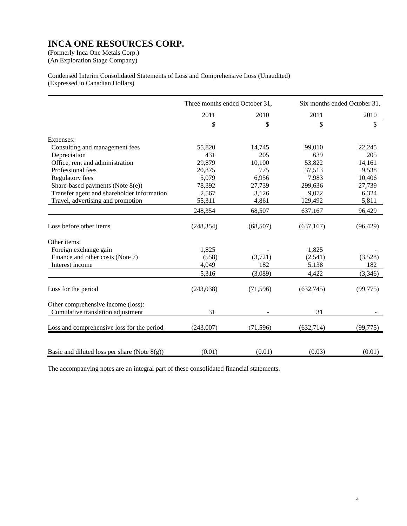(An Exploration Stage Company)

Condensed Interim Consolidated Statements of Loss and Comprehensive Loss (Unaudited) (Expressed in Canadian Dollars)

|                                                 | Three months ended October 31, |           |            | Six months ended October 31, |
|-------------------------------------------------|--------------------------------|-----------|------------|------------------------------|
|                                                 | 2011                           | 2010      | 2011       | 2010                         |
|                                                 | \$                             | \$        | \$         | \$                           |
| Expenses:                                       |                                |           |            |                              |
| Consulting and management fees                  | 55,820                         | 14,745    | 99,010     | 22,245                       |
| Depreciation                                    | 431                            | 205       | 639        | 205                          |
| Office, rent and administration                 | 29,879                         | 10,100    | 53,822     | 14,161                       |
| Professional fees                               | 20,875                         | 775       | 37,513     | 9,538                        |
| <b>Regulatory fees</b>                          | 5,079                          | 6,956     | 7,983      | 10,406                       |
| Share-based payments (Note $8(e)$ )             | 78,392                         | 27,739    | 299,636    | 27,739                       |
| Transfer agent and shareholder information      | 2,567                          | 3,126     | 9,072      | 6,324                        |
| Travel, advertising and promotion               | 55,311                         | 4,861     | 129,492    | 5,811                        |
|                                                 | 248,354                        | 68,507    | 637,167    | 96,429                       |
| Loss before other items                         | (248, 354)                     | (68, 507) | (637, 167) | (96, 429)                    |
| Other items:                                    |                                |           |            |                              |
| Foreign exchange gain                           | 1,825                          |           | 1,825      |                              |
| Finance and other costs (Note 7)                | (558)                          | (3,721)   | (2,541)    | (3,528)                      |
| Interest income                                 | 4,049                          | 182       | 5,138      | 182                          |
|                                                 | 5,316                          | (3,089)   | 4,422      | (3,346)                      |
| Loss for the period                             | (243,038)                      | (71, 596) | (632,745)  | (99, 775)                    |
| Other comprehensive income (loss):              |                                |           |            |                              |
| Cumulative translation adjustment               | 31                             |           | 31         |                              |
| Loss and comprehensive loss for the period      | (243,007)                      | (71, 596) | (632, 714) | (99, 775)                    |
| Basic and diluted loss per share (Note $8(g)$ ) | (0.01)                         | (0.01)    | (0.03)     | (0.01)                       |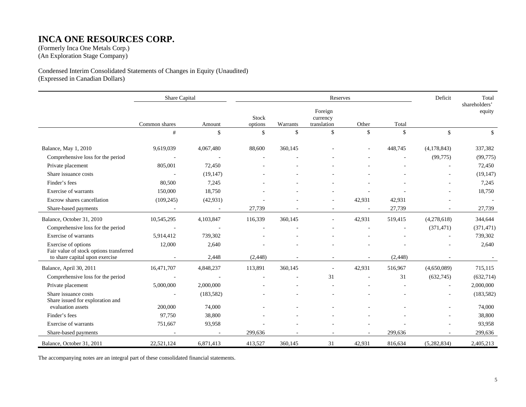### **INCA ONE RESOURCES CORP.**

(Formerly Inca One Metals Corp.) (An Exploration Stage Company)

Condensed Interim Consolidated Statements of Changes in Equity (Unaudited) (Expressed in Canadian Dollars)

|                                                                | Share Capital            |            |                    |                          | Reserves                           |        |                    | Deficit     | Total                   |
|----------------------------------------------------------------|--------------------------|------------|--------------------|--------------------------|------------------------------------|--------|--------------------|-------------|-------------------------|
|                                                                | Common shares            | Amount     | Stock<br>options   | Warrants                 | Foreign<br>currency<br>translation | Other  | Total              |             | shareholders'<br>equity |
|                                                                | #                        | \$         | $\mathbf{\hat{S}}$ | $\mathsf{\$}$            | $\mathsf{\$}$                      | \$     | $\mathbf{\hat{S}}$ | \$          | \$                      |
| Balance, May 1, 2010                                           | 9,619,039                | 4,067,480  | 88,600             | 360,145                  |                                    |        | 448,745            | (4,178,843) | 337,382                 |
| Comprehensive loss for the period                              |                          |            |                    |                          |                                    |        |                    | (99, 775)   | (99,775)                |
| Private placement                                              | 805,001                  | 72,450     |                    |                          |                                    |        |                    |             | 72,450                  |
| Share issuance costs                                           | $\sim$                   | (19, 147)  |                    |                          |                                    |        |                    |             | (19, 147)               |
| Finder's fees                                                  | 80,500                   | 7,245      |                    |                          |                                    |        |                    |             | 7,245                   |
| Exercise of warrants                                           | 150,000                  | 18,750     |                    |                          |                                    |        |                    |             | 18,750                  |
| Escrow shares cancellation                                     | (109, 245)               | (42, 931)  |                    |                          |                                    | 42,931 | 42,931             |             | $\overline{a}$          |
| Share-based payments                                           |                          | $\sim$     | 27,739             |                          |                                    |        | 27,739             |             | 27,739                  |
| Balance, October 31, 2010                                      | 10,545,295               | 4,103,847  | 116,339            | 360,145                  |                                    | 42,931 | 519,415            | (4,278,618) | 344,644                 |
| Comprehensive loss for the period                              | $\overline{\phantom{a}}$ |            |                    |                          |                                    |        |                    | (371, 471)  | (371, 471)              |
| Exercise of warrants                                           | 5,914,412                | 739,302    |                    |                          |                                    |        |                    |             | 739,302                 |
| Exercise of options<br>Fair value of stock options transferred | 12,000                   | 2,640      |                    |                          |                                    |        |                    |             | 2,640                   |
| to share capital upon exercise                                 |                          | 2,448      | (2, 448)           | $\overline{\phantom{a}}$ |                                    | ۰      | (2, 448)           |             |                         |
| Balance, April 30, 2011                                        | 16,471,707               | 4,848,237  | 113,891            | 360,145                  |                                    | 42,931 | 516,967            | (4,650,089) | 715,115                 |
| Comprehensive loss for the period                              |                          |            |                    |                          | 31                                 |        | 31                 | (632,745)   | (632, 714)              |
| Private placement                                              | 5,000,000                | 2,000,000  |                    |                          |                                    |        |                    |             | 2,000,000               |
| Share issuance costs<br>Share issued for exploration and       |                          | (183, 582) |                    |                          |                                    |        |                    |             | (183, 582)              |
| evaluation assets                                              | 200,000                  | 74,000     |                    |                          |                                    |        |                    |             | 74,000                  |
| Finder's fees                                                  | 97,750                   | 38,800     |                    |                          |                                    |        |                    |             | 38,800                  |
| Exercise of warrants                                           | 751,667                  | 93,958     |                    |                          |                                    |        |                    |             | 93,958                  |
| Share-based payments                                           |                          |            | 299,636            |                          |                                    |        | 299,636            |             | 299,636                 |
| Balance, October 31, 2011                                      | 22,521,124               | 6,871,413  | 413,527            | 360,145                  | 31                                 | 42,931 | 816,634            | (5,282,834) | 2,405,213               |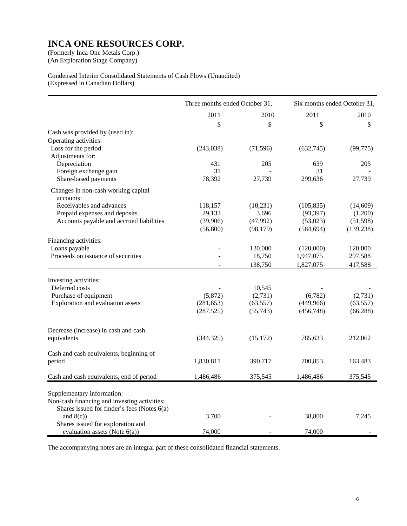(An Exploration Stage Company)

### Condensed Interim Consolidated Statements of Cash Flows (Unaudited) (Expressed in Canadian Dollars)

|                                                                            | Three months ended October 31, |           | Six months ended October 31, |            |
|----------------------------------------------------------------------------|--------------------------------|-----------|------------------------------|------------|
|                                                                            | 2011                           | 2010      | 2011                         | 2010       |
|                                                                            | \$                             | \$        | \$                           | \$         |
| Cash was provided by (used in):                                            |                                |           |                              |            |
| Operating activities:                                                      |                                |           |                              |            |
| Loss for the period                                                        | (243,038)                      | (71, 596) | (632,745)                    | (99, 775)  |
| Adjustments for:                                                           |                                |           |                              |            |
| Depreciation                                                               | 431                            | 205       | 639                          | 205        |
| Foreign exchange gain                                                      | 31                             |           | 31                           |            |
| Share-based payments                                                       | 78,392                         | 27,739    | 299,636                      | 27,739     |
| Changes in non-cash working capital<br>accounts:                           |                                |           |                              |            |
| Receivables and advances                                                   | 118,157                        | (10,231)  | (105, 835)                   | (14,609)   |
| Prepaid expenses and deposits                                              | 29,133                         | 3,696     | (93, 397)                    | (1,200)    |
| Accounts payable and accrued liabilities                                   | (39,906)                       | (47, 992) | (53, 023)                    | (51, 598)  |
|                                                                            | (56, 800)                      | (98, 179) | (584, 694)                   | (139, 238) |
| Financing activities:                                                      |                                |           |                              |            |
| Loans payable                                                              |                                | 120,000   | (120,000)                    | 120,000    |
| Proceeds on issuance of securities                                         |                                | 18,750    | 1,947,075                    | 297,588    |
|                                                                            | $\sim$                         | 138,750   | 1,827,075                    | 417,588    |
|                                                                            |                                |           |                              |            |
| Investing activities:                                                      |                                |           |                              |            |
| Deferred costs                                                             |                                | 10,545    |                              |            |
| Purchase of equipment                                                      | (5,872)                        | (2,731)   | (6,782)                      | (2,731)    |
| Exploration and evaluation assets                                          | (281, 653)                     | (63, 557) | (449, 966)                   | (63, 557)  |
|                                                                            | (287, 525)                     | (55, 743) | (456, 748)                   | (66, 288)  |
| Decrease (increase) in cash and cash                                       |                                |           |                              |            |
| equivalents                                                                | (344, 325)                     | (15, 172) | 785,633                      | 212,062    |
|                                                                            |                                |           |                              |            |
| Cash and cash equivalents, beginning of                                    |                                |           |                              |            |
| period                                                                     | 1,830,811                      | 390,717   | 700,853                      | 163,483    |
| Cash and cash equivalents, end of period                                   | 1,486,486                      | 375,545   | 1,486,486                    | 375,545    |
|                                                                            |                                |           |                              |            |
| Supplementary information:<br>Non-cash financing and investing activities: |                                |           |                              |            |
| Shares issued for finder's fees (Notes 6(a)                                |                                |           |                              |            |
| and $8(c)$ )                                                               | 3,700                          |           | 38,800                       | 7,245      |
| Shares issued for exploration and                                          |                                |           |                              |            |
| evaluation assets (Note $6(a)$ )                                           | 74,000                         |           | 74,000                       |            |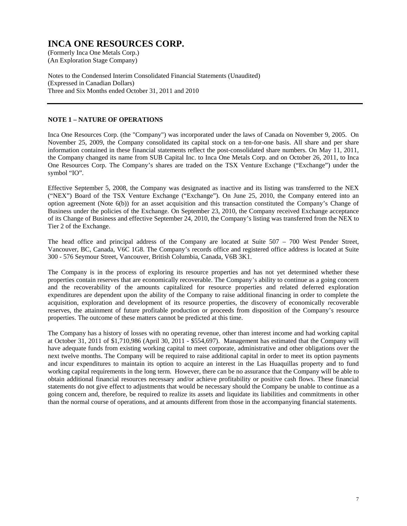(An Exploration Stage Company)

Notes to the Condensed Interim Consolidated Financial Statements (Unaudited) (Expressed in Canadian Dollars) Three and Six Months ended October 31, 2011 and 2010

### **NOTE 1 – NATURE OF OPERATIONS**

Inca One Resources Corp. (the "Company") was incorporated under the laws of Canada on November 9, 2005. On November 25, 2009, the Company consolidated its capital stock on a ten-for-one basis. All share and per share information contained in these financial statements reflect the post-consolidated share numbers. On May 11, 2011, the Company changed its name from SUB Capital Inc. to Inca One Metals Corp. and on October 26, 2011, to Inca One Resources Corp. The Company's shares are traded on the TSX Venture Exchange ("Exchange") under the symbol "IO".

Effective September 5, 2008, the Company was designated as inactive and its listing was transferred to the NEX ("NEX") Board of the TSX Venture Exchange ("Exchange"). On June 25, 2010, the Company entered into an option agreement (Note 6(b)) for an asset acquisition and this transaction constituted the Company's Change of Business under the policies of the Exchange. On September 23, 2010, the Company received Exchange acceptance of its Change of Business and effective September 24, 2010, the Company's listing was transferred from the NEX to Tier 2 of the Exchange.

The head office and principal address of the Company are located at Suite 507 – 700 West Pender Street, Vancouver, BC, Canada, V6C 1G8. The Company's records office and registered office address is located at Suite 300 - 576 Seymour Street, Vancouver, British Columbia, Canada, V6B 3K1.

The Company is in the process of exploring its resource properties and has not yet determined whether these properties contain reserves that are economically recoverable. The Company's ability to continue as a going concern and the recoverability of the amounts capitalized for resource properties and related deferred exploration expenditures are dependent upon the ability of the Company to raise additional financing in order to complete the acquisition, exploration and development of its resource properties, the discovery of economically recoverable reserves, the attainment of future profitable production or proceeds from disposition of the Company's resource properties. The outcome of these matters cannot be predicted at this time.

The Company has a history of losses with no operating revenue, other than interest income and had working capital at October 31, 2011 of \$1,710,986 (April 30, 2011 - \$554,697). Management has estimated that the Company will have adequate funds from existing working capital to meet corporate, administrative and other obligations over the next twelve months. The Company will be required to raise additional capital in order to meet its option payments and incur expenditures to maintain its option to acquire an interest in the Las Huaquillas property and to fund working capital requirements in the long term. However, there can be no assurance that the Company will be able to obtain additional financial resources necessary and/or achieve profitability or positive cash flows. These financial statements do not give effect to adjustments that would be necessary should the Company be unable to continue as a going concern and, therefore, be required to realize its assets and liquidate its liabilities and commitments in other than the normal course of operations, and at amounts different from those in the accompanying financial statements.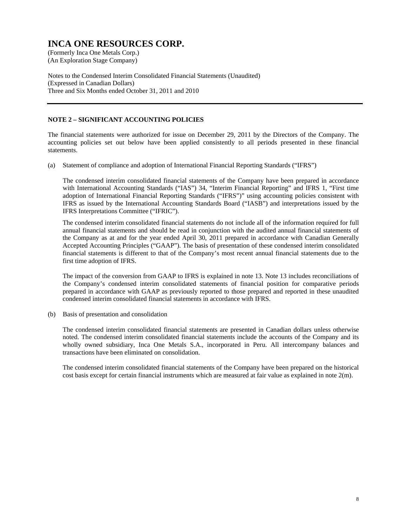(An Exploration Stage Company)

Notes to the Condensed Interim Consolidated Financial Statements (Unaudited) (Expressed in Canadian Dollars) Three and Six Months ended October 31, 2011 and 2010

### **NOTE 2 – SIGNIFICANT ACCOUNTING POLICIES**

The financial statements were authorized for issue on December 29, 2011 by the Directors of the Company. The accounting policies set out below have been applied consistently to all periods presented in these financial statements.

(a) Statement of compliance and adoption of International Financial Reporting Standards ("IFRS")

 The condensed interim consolidated financial statements of the Company have been prepared in accordance with International Accounting Standards ("IAS") 34, "Interim Financial Reporting" and IFRS 1, "First time adoption of International Financial Reporting Standards ("IFRS")" using accounting policies consistent with IFRS as issued by the International Accounting Standards Board ("IASB") and interpretations issued by the IFRS Interpretations Committee ("IFRIC").

 The condensed interim consolidated financial statements do not include all of the information required for full annual financial statements and should be read in conjunction with the audited annual financial statements of the Company as at and for the year ended April 30, 2011 prepared in accordance with Canadian Generally Accepted Accounting Principles ("GAAP"). The basis of presentation of these condensed interim consolidated financial statements is different to that of the Company's most recent annual financial statements due to the first time adoption of IFRS.

 The impact of the conversion from GAAP to IFRS is explained in note 13. Note 13 includes reconciliations of the Company's condensed interim consolidated statements of financial position for comparative periods prepared in accordance with GAAP as previously reported to those prepared and reported in these unaudited condensed interim consolidated financial statements in accordance with IFRS.

(b) Basis of presentation and consolidation

 The condensed interim consolidated financial statements are presented in Canadian dollars unless otherwise noted. The condensed interim consolidated financial statements include the accounts of the Company and its wholly owned subsidiary, Inca One Metals S.A., incorporated in Peru. All intercompany balances and transactions have been eliminated on consolidation.

 The condensed interim consolidated financial statements of the Company have been prepared on the historical cost basis except for certain financial instruments which are measured at fair value as explained in note  $2(m)$ .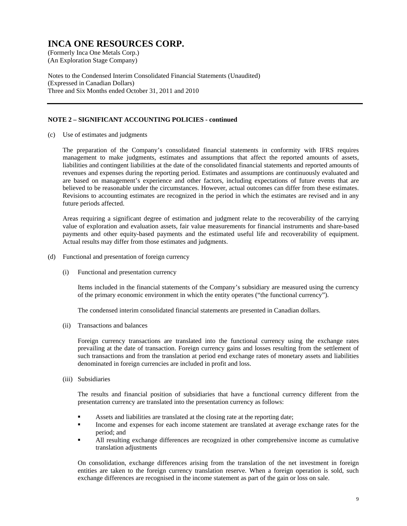(An Exploration Stage Company)

Notes to the Condensed Interim Consolidated Financial Statements (Unaudited) (Expressed in Canadian Dollars) Three and Six Months ended October 31, 2011 and 2010

### **NOTE 2 – SIGNIFICANT ACCOUNTING POLICIES - continued**

(c) Use of estimates and judgments

 The preparation of the Company's consolidated financial statements in conformity with IFRS requires management to make judgments, estimates and assumptions that affect the reported amounts of assets, liabilities and contingent liabilities at the date of the consolidated financial statements and reported amounts of revenues and expenses during the reporting period. Estimates and assumptions are continuously evaluated and are based on management's experience and other factors, including expectations of future events that are believed to be reasonable under the circumstances. However, actual outcomes can differ from these estimates. Revisions to accounting estimates are recognized in the period in which the estimates are revised and in any future periods affected.

 Areas requiring a significant degree of estimation and judgment relate to the recoverability of the carrying value of exploration and evaluation assets, fair value measurements for financial instruments and share-based payments and other equity-based payments and the estimated useful life and recoverability of equipment. Actual results may differ from those estimates and judgments.

- (d) Functional and presentation of foreign currency
	- (i) Functional and presentation currency

Items included in the financial statements of the Company's subsidiary are measured using the currency of the primary economic environment in which the entity operates ("the functional currency").

The condensed interim consolidated financial statements are presented in Canadian dollars.

(ii) Transactions and balances

Foreign currency transactions are translated into the functional currency using the exchange rates prevailing at the date of transaction. Foreign currency gains and losses resulting from the settlement of such transactions and from the translation at period end exchange rates of monetary assets and liabilities denominated in foreign currencies are included in profit and loss.

(iii) Subsidiaries

The results and financial position of subsidiaries that have a functional currency different from the presentation currency are translated into the presentation currency as follows:

- Assets and liabilities are translated at the closing rate at the reporting date;
- Income and expenses for each income statement are translated at average exchange rates for the period; and
- All resulting exchange differences are recognized in other comprehensive income as cumulative translation adjustments

On consolidation, exchange differences arising from the translation of the net investment in foreign entities are taken to the foreign currency translation reserve. When a foreign operation is sold, such exchange differences are recognised in the income statement as part of the gain or loss on sale.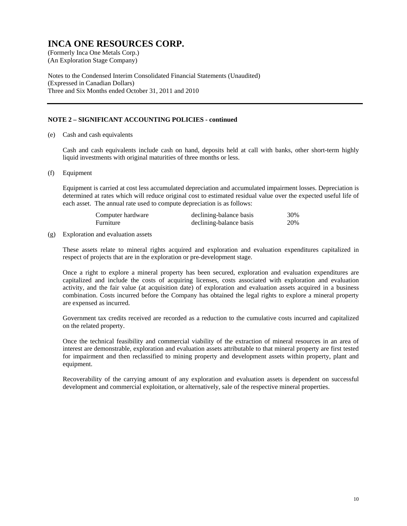(An Exploration Stage Company)

Notes to the Condensed Interim Consolidated Financial Statements (Unaudited) (Expressed in Canadian Dollars) Three and Six Months ended October 31, 2011 and 2010

### **NOTE 2 – SIGNIFICANT ACCOUNTING POLICIES - continued**

(e) Cash and cash equivalents

 Cash and cash equivalents include cash on hand, deposits held at call with banks, other short-term highly liquid investments with original maturities of three months or less.

(f) Equipment

Equipment is carried at cost less accumulated depreciation and accumulated impairment losses. Depreciation is determined at rates which will reduce original cost to estimated residual value over the expected useful life of each asset. The annual rate used to compute depreciation is as follows:

| Computer hardware | declining-balance basis | 30% |
|-------------------|-------------------------|-----|
| Furniture         | declining-balance basis | 20% |

#### (g) Exploration and evaluation assets

These assets relate to mineral rights acquired and exploration and evaluation expenditures capitalized in respect of projects that are in the exploration or pre-development stage.

Once a right to explore a mineral property has been secured, exploration and evaluation expenditures are capitalized and include the costs of acquiring licenses, costs associated with exploration and evaluation activity, and the fair value (at acquisition date) of exploration and evaluation assets acquired in a business combination. Costs incurred before the Company has obtained the legal rights to explore a mineral property are expensed as incurred.

Government tax credits received are recorded as a reduction to the cumulative costs incurred and capitalized on the related property.

Once the technical feasibility and commercial viability of the extraction of mineral resources in an area of interest are demonstrable, exploration and evaluation assets attributable to that mineral property are first tested for impairment and then reclassified to mining property and development assets within property, plant and equipment.

Recoverability of the carrying amount of any exploration and evaluation assets is dependent on successful development and commercial exploitation, or alternatively, sale of the respective mineral properties.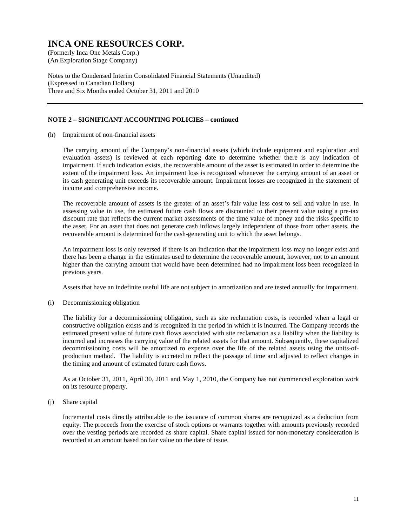(An Exploration Stage Company)

Notes to the Condensed Interim Consolidated Financial Statements (Unaudited) (Expressed in Canadian Dollars) Three and Six Months ended October 31, 2011 and 2010

### **NOTE 2 – SIGNIFICANT ACCOUNTING POLICIES – continued**

(h) Impairment of non-financial assets

The carrying amount of the Company's non-financial assets (which include equipment and exploration and evaluation assets) is reviewed at each reporting date to determine whether there is any indication of impairment. If such indication exists, the recoverable amount of the asset is estimated in order to determine the extent of the impairment loss. An impairment loss is recognized whenever the carrying amount of an asset or its cash generating unit exceeds its recoverable amount. Impairment losses are recognized in the statement of income and comprehensive income.

The recoverable amount of assets is the greater of an asset's fair value less cost to sell and value in use. In assessing value in use, the estimated future cash flows are discounted to their present value using a pre-tax discount rate that reflects the current market assessments of the time value of money and the risks specific to the asset. For an asset that does not generate cash inflows largely independent of those from other assets, the recoverable amount is determined for the cash-generating unit to which the asset belongs.

An impairment loss is only reversed if there is an indication that the impairment loss may no longer exist and there has been a change in the estimates used to determine the recoverable amount, however, not to an amount higher than the carrying amount that would have been determined had no impairment loss been recognized in previous years.

Assets that have an indefinite useful life are not subject to amortization and are tested annually for impairment.

(i) Decommissioning obligation

The liability for a decommissioning obligation, such as site reclamation costs, is recorded when a legal or constructive obligation exists and is recognized in the period in which it is incurred. The Company records the estimated present value of future cash flows associated with site reclamation as a liability when the liability is incurred and increases the carrying value of the related assets for that amount. Subsequently, these capitalized decommissioning costs will be amortized to expense over the life of the related assets using the units-ofproduction method. The liability is accreted to reflect the passage of time and adjusted to reflect changes in the timing and amount of estimated future cash flows.

As at October 31, 2011, April 30, 2011 and May 1, 2010, the Company has not commenced exploration work on its resource property.

### (j) Share capital

Incremental costs directly attributable to the issuance of common shares are recognized as a deduction from equity. The proceeds from the exercise of stock options or warrants together with amounts previously recorded over the vesting periods are recorded as share capital. Share capital issued for non-monetary consideration is recorded at an amount based on fair value on the date of issue.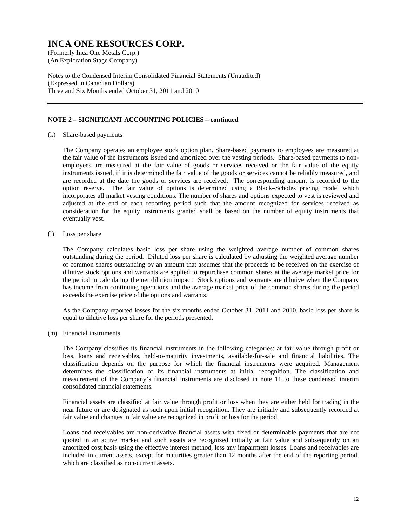(An Exploration Stage Company)

Notes to the Condensed Interim Consolidated Financial Statements (Unaudited) (Expressed in Canadian Dollars) Three and Six Months ended October 31, 2011 and 2010

#### **NOTE 2 – SIGNIFICANT ACCOUNTING POLICIES – continued**

(k) Share-based payments

The Company operates an employee stock option plan. Share-based payments to employees are measured at the fair value of the instruments issued and amortized over the vesting periods. Share-based payments to nonemployees are measured at the fair value of goods or services received or the fair value of the equity instruments issued, if it is determined the fair value of the goods or services cannot be reliably measured, and are recorded at the date the goods or services are received. The corresponding amount is recorded to the option reserve. The fair value of options is determined using a Black–Scholes pricing model which incorporates all market vesting conditions. The number of shares and options expected to vest is reviewed and adjusted at the end of each reporting period such that the amount recognized for services received as consideration for the equity instruments granted shall be based on the number of equity instruments that eventually vest.

(l) Loss per share

The Company calculates basic loss per share using the weighted average number of common shares outstanding during the period. Diluted loss per share is calculated by adjusting the weighted average number of common shares outstanding by an amount that assumes that the proceeds to be received on the exercise of dilutive stock options and warrants are applied to repurchase common shares at the average market price for the period in calculating the net dilution impact. Stock options and warrants are dilutive when the Company has income from continuing operations and the average market price of the common shares during the period exceeds the exercise price of the options and warrants.

As the Company reported losses for the six months ended October 31, 2011 and 2010, basic loss per share is equal to dilutive loss per share for the periods presented.

(m) Financial instruments

The Company classifies its financial instruments in the following categories: at fair value through profit or loss, loans and receivables, held-to-maturity investments, available-for-sale and financial liabilities. The classification depends on the purpose for which the financial instruments were acquired. Management determines the classification of its financial instruments at initial recognition. The classification and measurement of the Company's financial instruments are disclosed in note 11 to these condensed interim consolidated financial statements.

Financial assets are classified at fair value through profit or loss when they are either held for trading in the near future or are designated as such upon initial recognition. They are initially and subsequently recorded at fair value and changes in fair value are recognized in profit or loss for the period.

Loans and receivables are non-derivative financial assets with fixed or determinable payments that are not quoted in an active market and such assets are recognized initially at fair value and subsequently on an amortized cost basis using the effective interest method, less any impairment losses. Loans and receivables are included in current assets, except for maturities greater than 12 months after the end of the reporting period, which are classified as non-current assets.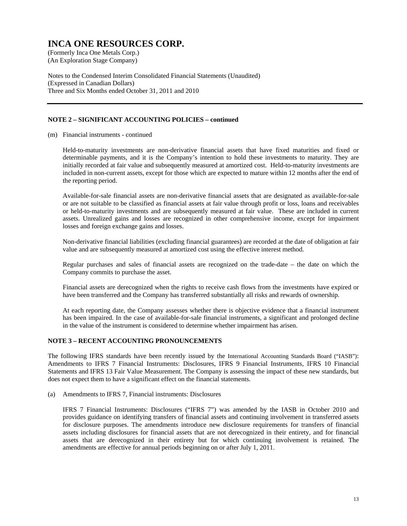(An Exploration Stage Company)

Notes to the Condensed Interim Consolidated Financial Statements (Unaudited) (Expressed in Canadian Dollars) Three and Six Months ended October 31, 2011 and 2010

### **NOTE 2 – SIGNIFICANT ACCOUNTING POLICIES – continued**

(m) Financial instruments - continued

Held-to-maturity investments are non-derivative financial assets that have fixed maturities and fixed or determinable payments, and it is the Company's intention to hold these investments to maturity. They are initially recorded at fair value and subsequently measured at amortized cost. Held-to-maturity investments are included in non-current assets, except for those which are expected to mature within 12 months after the end of the reporting period.

Available-for-sale financial assets are non-derivative financial assets that are designated as available-for-sale or are not suitable to be classified as financial assets at fair value through profit or loss, loans and receivables or held-to-maturity investments and are subsequently measured at fair value. These are included in current assets. Unrealized gains and losses are recognized in other comprehensive income, except for impairment losses and foreign exchange gains and losses.

Non-derivative financial liabilities (excluding financial guarantees) are recorded at the date of obligation at fair value and are subsequently measured at amortized cost using the effective interest method.

Regular purchases and sales of financial assets are recognized on the trade-date – the date on which the Company commits to purchase the asset.

Financial assets are derecognized when the rights to receive cash flows from the investments have expired or have been transferred and the Company has transferred substantially all risks and rewards of ownership.

At each reporting date, the Company assesses whether there is objective evidence that a financial instrument has been impaired. In the case of available-for-sale financial instruments, a significant and prolonged decline in the value of the instrument is considered to determine whether impairment has arisen.

#### **NOTE 3 – RECENT ACCOUNTING PRONOUNCEMENTS**

The following IFRS standards have been recently issued by the International Accounting Standards Board ("IASB"): Amendments to IFRS 7 Financial Instruments: Disclosures, IFRS 9 Financial Instruments, IFRS 10 Financial Statements and IFRS 13 Fair Value Measurement. The Company is assessing the impact of these new standards, but does not expect them to have a significant effect on the financial statements.

(a) Amendments to IFRS 7, Financial instruments: Disclosures

 IFRS 7 Financial Instruments: Disclosures ("IFRS 7") was amended by the IASB in October 2010 and provides guidance on identifying transfers of financial assets and continuing involvement in transferred assets for disclosure purposes. The amendments introduce new disclosure requirements for transfers of financial assets including disclosures for financial assets that are not derecognized in their entirety, and for financial assets that are derecognized in their entirety but for which continuing involvement is retained. The amendments are effective for annual periods beginning on or after July 1, 2011.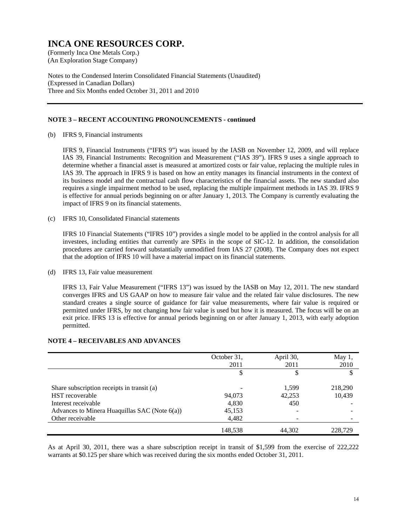(An Exploration Stage Company)

Notes to the Condensed Interim Consolidated Financial Statements (Unaudited) (Expressed in Canadian Dollars) Three and Six Months ended October 31, 2011 and 2010

#### **NOTE 3 – RECENT ACCOUNTING PRONOUNCEMENTS - continued**

(b) IFRS 9, Financial instruments

 IFRS 9, Financial Instruments ("IFRS 9") was issued by the IASB on November 12, 2009, and will replace IAS 39, Financial Instruments: Recognition and Measurement ("IAS 39"). IFRS 9 uses a single approach to determine whether a financial asset is measured at amortized costs or fair value, replacing the multiple rules in IAS 39. The approach in IFRS 9 is based on how an entity manages its financial instruments in the context of its business model and the contractual cash flow characteristics of the financial assets. The new standard also requires a single impairment method to be used, replacing the multiple impairment methods in IAS 39. IFRS 9 is effective for annual periods beginning on or after January 1, 2013. The Company is currently evaluating the impact of IFRS 9 on its financial statements.

(c) IFRS 10, Consolidated Financial statements

 IFRS 10 Financial Statements ("IFRS 10") provides a single model to be applied in the control analysis for all investees, including entities that currently are SPEs in the scope of SIC-12. In addition, the consolidation procedures are carried forward substantially unmodified from IAS 27 (2008). The Company does not expect that the adoption of IFRS 10 will have a material impact on its financial statements.

(d) IFRS 13, Fair value measurement

 IFRS 13, Fair Value Measurement ("IFRS 13") was issued by the IASB on May 12, 2011. The new standard converges IFRS and US GAAP on how to measure fair value and the related fair value disclosures. The new standard creates a single source of guidance for fair value measurements, where fair value is required or permitted under IFRS, by not changing how fair value is used but how it is measured. The focus will be on an exit price. IFRS 13 is effective for annual periods beginning on or after January 1, 2013, with early adoption permitted.

|                                               | October 31,<br>2011 | April 30,<br>2011 | May $1,$<br>2010 |
|-----------------------------------------------|---------------------|-------------------|------------------|
|                                               | \$                  |                   |                  |
| Share subscription receipts in transit (a)    |                     | 1.599             | 218,290          |
| <b>HST</b> recoverable                        | 94,073              | 42,253            | 10,439           |
| Interest receivable                           | 4,830               | 450               |                  |
| Advances to Minera Huaquillas SAC (Note 6(a)) | 45,153              |                   |                  |
| Other receivable                              | 4,482               |                   |                  |
|                                               | 148,538             | 44.302            | 228.729          |

#### **NOTE 4 – RECEIVABLES AND ADVANCES**

As at April 30, 2011, there was a share subscription receipt in transit of \$1,599 from the exercise of 222,222 warrants at \$0.125 per share which was received during the six months ended October 31, 2011.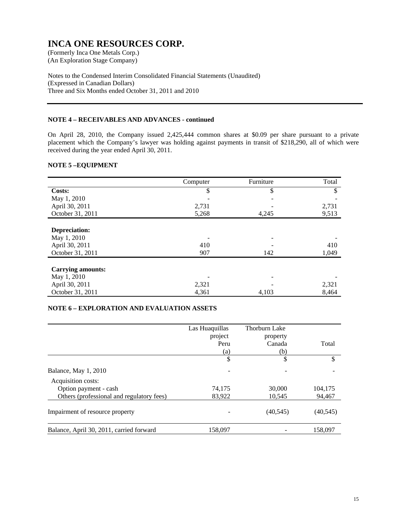(An Exploration Stage Company)

Notes to the Condensed Interim Consolidated Financial Statements (Unaudited) (Expressed in Canadian Dollars) Three and Six Months ended October 31, 2011 and 2010

### **NOTE 4 – RECEIVABLES AND ADVANCES - continued**

On April 28, 2010, the Company issued 2,425,444 common shares at \$0.09 per share pursuant to a private placement which the Company's lawyer was holding against payments in transit of \$218,290, all of which were received during the year ended April 30, 2011.

### **NOTE 5 –EQUIPMENT**

|                          | Computer | Furniture | Total |
|--------------------------|----------|-----------|-------|
| Costs:                   | \$       | \$        | \$    |
| May 1, 2010              |          |           |       |
| April 30, 2011           | 2,731    |           | 2,731 |
| October 31, 2011         | 5,268    | 4,245     | 9,513 |
|                          |          |           |       |
| Depreciation:            |          |           |       |
| May 1, 2010              |          |           |       |
| April 30, 2011           | 410      |           | 410   |
| October 31, 2011         | 907      | 142       | 1,049 |
|                          |          |           |       |
| <b>Carrying amounts:</b> |          |           |       |
| May 1, 2010              |          |           |       |
| April 30, 2011           | 2,321    |           | 2,321 |
| October 31, 2011         | 4,361    | 4,103     | 8,464 |

#### **NOTE 6 – EXPLORATION AND EVALUATION ASSETS**

|                                           | Las Huaquillas<br>project<br>Peru<br>(a) | Thorburn Lake<br>property<br>Canada<br>(b) | Total     |
|-------------------------------------------|------------------------------------------|--------------------------------------------|-----------|
|                                           | \$                                       | \$                                         | \$        |
| Balance, May 1, 2010                      |                                          |                                            |           |
| Acquisition costs:                        |                                          |                                            |           |
| Option payment - cash                     | 74,175                                   | 30,000                                     | 104,175   |
| Others (professional and regulatory fees) | 83,922                                   | 10,545                                     | 94,467    |
| Impairment of resource property           |                                          | (40, 545)                                  | (40, 545) |
| Balance, April 30, 2011, carried forward  | 158,097                                  |                                            | 158,097   |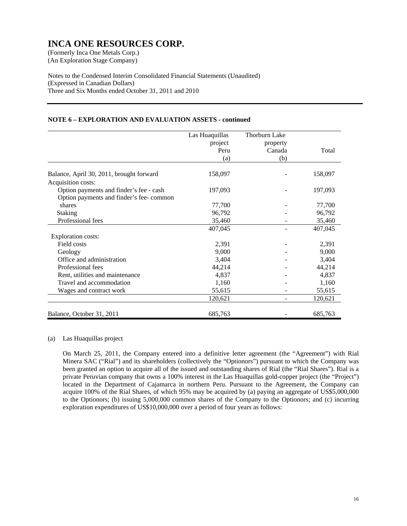(An Exploration Stage Company)

Notes to the Condensed Interim Consolidated Financial Statements (Unaudited) (Expressed in Canadian Dollars) Three and Six Months ended October 31, 2011 and 2010

### **NOTE 6 – EXPLORATION AND EVALUATION ASSETS - continued**

|                                          | Las Huaquillas | <b>Thorburn Lake</b> |         |
|------------------------------------------|----------------|----------------------|---------|
|                                          | project        | property             |         |
|                                          | Peru           | Canada               | Total   |
|                                          | (a)            | (b)                  |         |
| Balance, April 30, 2011, brought forward | 158,097        |                      | 158,097 |
| Acquisition costs:                       |                |                      |         |
| Option payments and finder's fee - cash  | 197,093        |                      | 197,093 |
| Option payments and finder's fee-common  |                |                      |         |
| shares                                   | 77,700         |                      | 77,700  |
| <b>Staking</b>                           | 96,792         |                      | 96,792  |
| Professional fees                        | 35,460         |                      | 35,460  |
|                                          | 407,045        |                      | 407,045 |
| <b>Exploration costs:</b>                |                |                      |         |
| Field costs                              | 2,391          |                      | 2,391   |
| Geology                                  | 9,000          |                      | 9,000   |
| Office and administration                | 3,404          |                      | 3,404   |
| Professional fees                        | 44,214         |                      | 44,214  |
| Rent, utilities and maintenance          | 4,837          |                      | 4,837   |
| Travel and accommodation                 | 1,160          |                      | 1,160   |
| Wages and contract work                  | 55,615         |                      | 55,615  |
|                                          | 120,621        |                      | 120,621 |
| Balance, October 31, 2011                | 685,763        |                      | 685,763 |

#### (a) Las Huaquillas project

On March 25, 2011, the Company entered into a definitive letter agreement (the "Agreement") with Rial Minera SAC ("Rial") and its shareholders (collectively the "Optionors") pursuant to which the Company was been granted an option to acquire all of the issued and outstanding shares of Rial (the "Rial Shares"). Rial is a private Peruvian company that owns a 100% interest in the Las Huaquillas gold-copper project (the "Project") located in the Department of Cajamarca in northern Peru. Pursuant to the Agreement, the Company can acquire 100% of the Rial Shares, of which 95% may be acquired by (a) paying an aggregate of US\$5,000,000 to the Optionors; (b) issuing 5,000,000 common shares of the Company to the Optionors; and (c) incurring exploration expenditures of US\$10,000,000 over a period of four years as follows: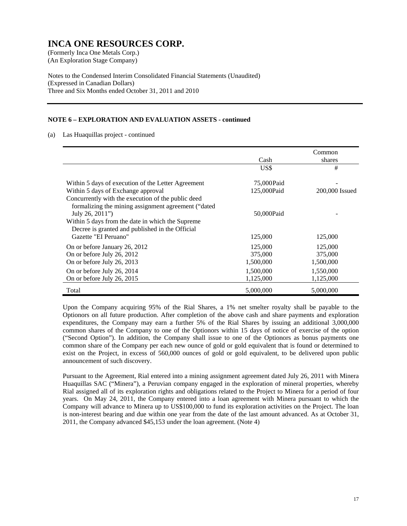(An Exploration Stage Company)

Notes to the Condensed Interim Consolidated Financial Statements (Unaudited) (Expressed in Canadian Dollars) Three and Six Months ended October 31, 2011 and 2010

### **NOTE 6 – EXPLORATION AND EVALUATION ASSETS - continued**

(a) Las Huaquillas project - continued

|                                                                                                                                                                                                                                      | Cash                            | Common<br>shares                |
|--------------------------------------------------------------------------------------------------------------------------------------------------------------------------------------------------------------------------------------|---------------------------------|---------------------------------|
|                                                                                                                                                                                                                                      | US\$                            | #                               |
| Within 5 days of execution of the Letter Agreement<br>Within 5 days of Exchange approval                                                                                                                                             | 75,000 Paid<br>125,000Paid      | 200,000 Issued                  |
| Concurrently with the execution of the public deed<br>formalizing the mining assignment agreement ("dated"<br>July 26, 2011")<br>Within 5 days from the date in which the Supreme<br>Decree is granted and published in the Official | 50,000Paid                      |                                 |
| Gazette "EI Peruano"                                                                                                                                                                                                                 | 125,000                         | 125,000                         |
| On or before January 26, 2012<br>On or before July 26, 2012<br>On or before July 26, 2013                                                                                                                                            | 125,000<br>375,000<br>1,500,000 | 125,000<br>375,000<br>1,500,000 |
| On or before July 26, 2014<br>On or before July 26, 2015                                                                                                                                                                             | 1,500,000<br>1,125,000          | 1,550,000<br>1,125,000          |
| Total                                                                                                                                                                                                                                | 5,000,000                       | 5,000,000                       |

 Upon the Company acquiring 95% of the Rial Shares, a 1% net smelter royalty shall be payable to the Optionors on all future production. After completion of the above cash and share payments and exploration expenditures, the Company may earn a further 5% of the Rial Shares by issuing an additional 3,000,000 common shares of the Company to one of the Optionors within 15 days of notice of exercise of the option ("Second Option"). In addition, the Company shall issue to one of the Optionors as bonus payments one common share of the Company per each new ounce of gold or gold equivalent that is found or determined to exist on the Project, in excess of 560,000 ounces of gold or gold equivalent, to be delivered upon public announcement of such discovery.

Pursuant to the Agreement, Rial entered into a mining assignment agreement dated July 26, 2011 with Minera Huaquillas SAC ("Minera"), a Peruvian company engaged in the exploration of mineral properties, whereby Rial assigned all of its exploration rights and obligations related to the Project to Minera for a period of four years. On May 24, 2011, the Company entered into a loan agreement with Minera pursuant to which the Company will advance to Minera up to US\$100,000 to fund its exploration activities on the Project. The loan is non-interest bearing and due within one year from the date of the last amount advanced. As at October 31, 2011, the Company advanced \$45,153 under the loan agreement. (Note 4)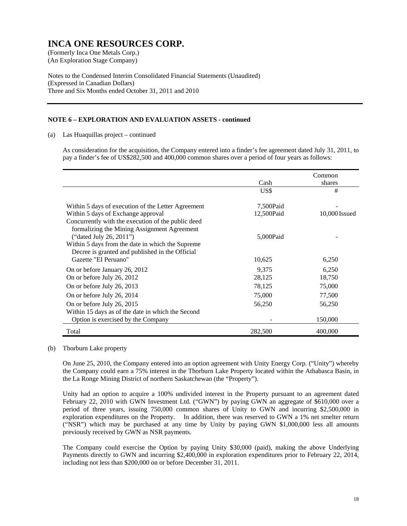(An Exploration Stage Company)

Notes to the Condensed Interim Consolidated Financial Statements (Unaudited) (Expressed in Canadian Dollars) Three and Six Months ended October 31, 2011 and 2010

### **NOTE 6 – EXPLORATION AND EVALUATION ASSETS - continued**

(a) Las Huaquillas project – continued

As consideration for the acquisition, the Company entered into a finder's fee agreement dated July 31, 2011, to pay a finder's fee of US\$282,500 and 400,000 common shares over a period of four years as follows:

|                                                                                                                                                                                                                                                             |                         | Common          |
|-------------------------------------------------------------------------------------------------------------------------------------------------------------------------------------------------------------------------------------------------------------|-------------------------|-----------------|
|                                                                                                                                                                                                                                                             | Cash                    | shares          |
|                                                                                                                                                                                                                                                             | US\$                    | #               |
| Within 5 days of execution of the Letter Agreement<br>Within 5 days of Exchange approval                                                                                                                                                                    | 7,500Paid<br>12,500Paid | 10,000 Issued   |
| Concurrently with the execution of the public deed<br>formalizing the Mining Assignment Agreement<br>("dated July 26, 2011")<br>Within 5 days from the date in which the Supreme<br>Decree is granted and published in the Official<br>Gazette "EI Peruano" | 5,000Paid<br>10,625     | 6,250           |
| On or before January 26, 2012<br>On or before July 26, 2012                                                                                                                                                                                                 | 9,375<br>28,125         | 6,250<br>18,750 |
| On or before July 26, 2013                                                                                                                                                                                                                                  | 78,125                  | 75,000          |
| On or before July 26, 2014                                                                                                                                                                                                                                  | 75,000                  | 77,500          |
| On or before July 26, 2015                                                                                                                                                                                                                                  | 56,250                  | 56,250          |
| Within 15 days as of the date in which the Second<br>Option is exercised by the Company                                                                                                                                                                     |                         | 150,000         |
| Total                                                                                                                                                                                                                                                       | 282,500                 | 400,000         |

#### (b) Thorburn Lake property

On June 25, 2010, the Company entered into an option agreement with Unity Energy Corp. ("Unity") whereby the Company could earn a 75% interest in the Thorburn Lake Property located within the Athabasca Basin, in the La Ronge Mining District of northern Saskatchewan (the "Property").

Unity had an option to acquire a 100% undivided interest in the Property pursuant to an agreement dated February 22, 2010 with GWN Investment Ltd. ("GWN") by paying GWN an aggregate of \$610,000 over a period of three years, issuing 750,000 common shares of Unity to GWN and incurring \$2,500,000 in exploration expenditures on the Property. In addition, there was reserved to GWN a 1% net smelter return ("NSR") which may be purchased at any time by Unity by paying GWN \$1,000,000 less all amounts previously received by GWN as NSR payments.

The Company could exercise the Option by paying Unity \$30,000 (paid), making the above Underlying Payments directly to GWN and incurring \$2,400,000 in exploration expenditures prior to February 22, 2014, including not less than \$200,000 on or before December 31, 2011.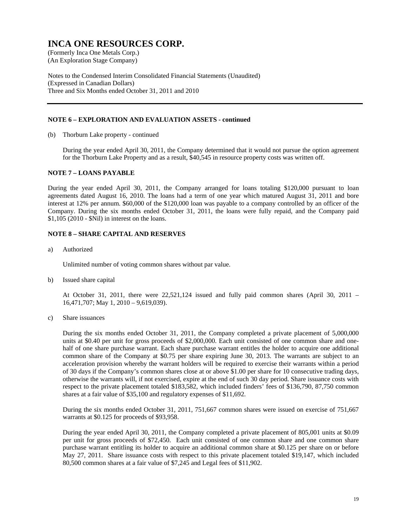(An Exploration Stage Company)

Notes to the Condensed Interim Consolidated Financial Statements (Unaudited) (Expressed in Canadian Dollars) Three and Six Months ended October 31, 2011 and 2010

#### **NOTE 6 – EXPLORATION AND EVALUATION ASSETS - continued**

(b) Thorburn Lake property - continued

During the year ended April 30, 2011, the Company determined that it would not pursue the option agreement for the Thorburn Lake Property and as a result, \$40,545 in resource property costs was written off.

#### **NOTE 7 – LOANS PAYABLE**

During the year ended April 30, 2011, the Company arranged for loans totaling \$120,000 pursuant to loan agreements dated August 16, 2010. The loans had a term of one year which matured August 31, 2011 and bore interest at 12% per annum. \$60,000 of the \$120,000 loan was payable to a company controlled by an officer of the Company. During the six months ended October 31, 2011, the loans were fully repaid, and the Company paid \$1,105 (2010 - \$Nil) in interest on the loans.

### **NOTE 8 – SHARE CAPITAL AND RESERVES**

a) Authorized

Unlimited number of voting common shares without par value.

b) Issued share capital

 At October 31, 2011, there were 22,521,124 issued and fully paid common shares (April 30, 2011 – 16,471,707; May 1, 2010 – 9,619,039).

c) Share issuances

During the six months ended October 31, 2011, the Company completed a private placement of 5,000,000 units at \$0.40 per unit for gross proceeds of \$2,000,000. Each unit consisted of one common share and onehalf of one share purchase warrant. Each share purchase warrant entitles the holder to acquire one additional common share of the Company at \$0.75 per share expiring June 30, 2013. The warrants are subject to an acceleration provision whereby the warrant holders will be required to exercise their warrants within a period of 30 days if the Company's common shares close at or above \$1.00 per share for 10 consecutive trading days, otherwise the warrants will, if not exercised, expire at the end of such 30 day period. Share issuance costs with respect to the private placement totaled \$183,582, which included finders' fees of \$136,790, 87,750 common shares at a fair value of \$35,100 and regulatory expenses of \$11,692.

 During the six months ended October 31, 2011, 751,667 common shares were issued on exercise of 751,667 warrants at \$0.125 for proceeds of \$93,958.

 During the year ended April 30, 2011, the Company completed a private placement of 805,001 units at \$0.09 per unit for gross proceeds of \$72,450. Each unit consisted of one common share and one common share purchase warrant entitling its holder to acquire an additional common share at \$0.125 per share on or before May 27, 2011. Share issuance costs with respect to this private placement totaled \$19,147, which included 80,500 common shares at a fair value of \$7,245 and Legal fees of \$11,902.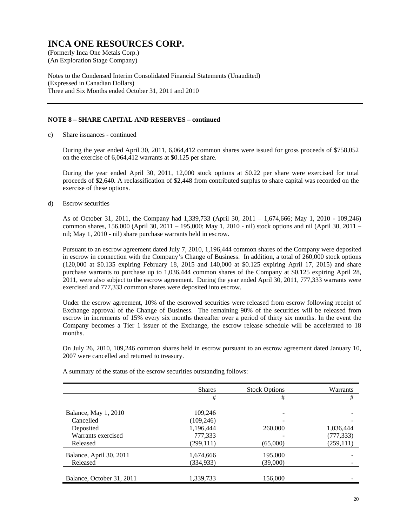(An Exploration Stage Company)

Notes to the Condensed Interim Consolidated Financial Statements (Unaudited) (Expressed in Canadian Dollars) Three and Six Months ended October 31, 2011 and 2010

### **NOTE 8 – SHARE CAPITAL AND RESERVES – continued**

c) Share issuances - continued

 During the year ended April 30, 2011, 6,064,412 common shares were issued for gross proceeds of \$758,052 on the exercise of 6,064,412 warrants at \$0.125 per share.

 During the year ended April 30, 2011, 12,000 stock options at \$0.22 per share were exercised for total proceeds of \$2,640. A reclassification of \$2,448 from contributed surplus to share capital was recorded on the exercise of these options.

d) Escrow securities

As of October 31, 2011, the Company had 1,339,733 (April 30, 2011 – 1,674,666; May 1, 2010 - 109,246) common shares, 156,000 (April 30, 2011 – 195,000; May 1, 2010 - nil) stock options and nil (April 30, 2011 – nil; May 1, 2010 - nil) share purchase warrants held in escrow.

Pursuant to an escrow agreement dated July 7, 2010, 1,196,444 common shares of the Company were deposited in escrow in connection with the Company's Change of Business. In addition, a total of 260,000 stock options (120,000 at \$0.135 expiring February 18, 2015 and 140,000 at \$0.125 expiring April 17, 2015) and share purchase warrants to purchase up to 1,036,444 common shares of the Company at \$0.125 expiring April 28, 2011, were also subject to the escrow agreement. During the year ended April 30, 2011, 777,333 warrants were exercised and 777,333 common shares were deposited into escrow.

Under the escrow agreement, 10% of the escrowed securities were released from escrow following receipt of Exchange approval of the Change of Business. The remaining 90% of the securities will be released from escrow in increments of 15% every six months thereafter over a period of thirty six months. In the event the Company becomes a Tier 1 issuer of the Exchange, the escrow release schedule will be accelerated to 18 months.

On July 26, 2010, 109,246 common shares held in escrow pursuant to an escrow agreement dated January 10, 2007 were cancelled and returned to treasury.

|                           | <b>Shares</b> | <b>Stock Options</b> | Warrants   |
|---------------------------|---------------|----------------------|------------|
|                           | #             | #                    | #          |
|                           |               |                      |            |
| Balance, May 1, 2010      | 109,246       |                      |            |
| Cancelled                 | (109, 246)    |                      |            |
| Deposited                 | 1,196,444     | 260,000              | 1,036,444  |
| Warrants exercised        | 777,333       |                      | (777, 333) |
| Released                  | (299, 111)    | (65,000)             | (259, 111) |
| Balance, April 30, 2011   | 1,674,666     | 195,000              |            |
| Released                  | (334, 933)    | (39,000)             |            |
|                           |               |                      |            |
| Balance, October 31, 2011 | 1,339,733     | 156,000              |            |

A summary of the status of the escrow securities outstanding follows: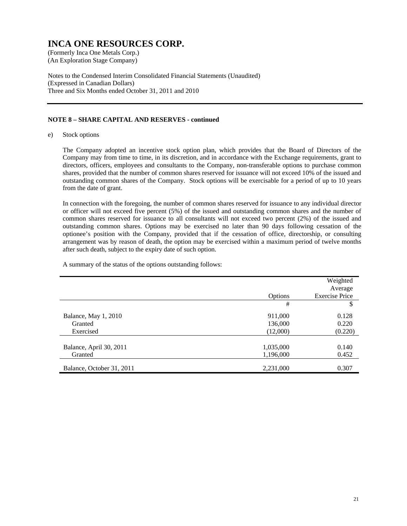(An Exploration Stage Company)

Notes to the Condensed Interim Consolidated Financial Statements (Unaudited) (Expressed in Canadian Dollars) Three and Six Months ended October 31, 2011 and 2010

### **NOTE 8 – SHARE CAPITAL AND RESERVES - continued**

e) Stock options

The Company adopted an incentive stock option plan, which provides that the Board of Directors of the Company may from time to time, in its discretion, and in accordance with the Exchange requirements, grant to directors, officers, employees and consultants to the Company, non-transferable options to purchase common shares, provided that the number of common shares reserved for issuance will not exceed 10% of the issued and outstanding common shares of the Company. Stock options will be exercisable for a period of up to 10 years from the date of grant.

In connection with the foregoing, the number of common shares reserved for issuance to any individual director or officer will not exceed five percent (5%) of the issued and outstanding common shares and the number of common shares reserved for issuance to all consultants will not exceed two percent (2%) of the issued and outstanding common shares. Options may be exercised no later than 90 days following cessation of the optionee's position with the Company, provided that if the cessation of office, directorship, or consulting arrangement was by reason of death, the option may be exercised within a maximum period of twelve months after such death, subject to the expiry date of such option.

A summary of the status of the options outstanding follows:

|                           |           | Weighted<br>Average   |
|---------------------------|-----------|-----------------------|
|                           | Options   | <b>Exercise Price</b> |
|                           | #         | \$                    |
| Balance, May 1, 2010      | 911,000   | 0.128                 |
| Granted                   | 136,000   | 0.220                 |
| Exercised                 | (12,000)  | (0.220)               |
|                           |           |                       |
| Balance, April 30, 2011   | 1,035,000 | 0.140                 |
| Granted                   | 1,196,000 | 0.452                 |
| Balance, October 31, 2011 | 2,231,000 | 0.307                 |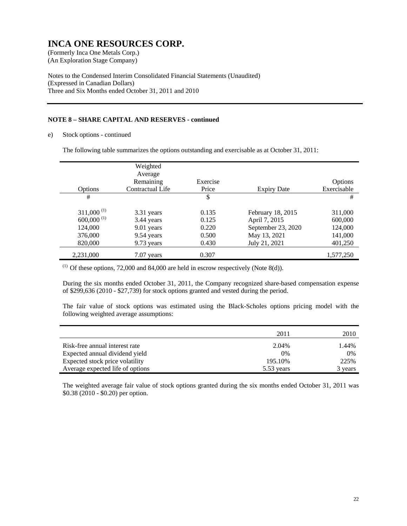(An Exploration Stage Company)

Notes to the Condensed Interim Consolidated Financial Statements (Unaudited) (Expressed in Canadian Dollars) Three and Six Months ended October 31, 2011 and 2010

### **NOTE 8 – SHARE CAPITAL AND RESERVES - continued**

e) Stock options - continued

The following table summarizes the options outstanding and exercisable as at October 31, 2011:

|                          | Weighted         |          |                    |             |
|--------------------------|------------------|----------|--------------------|-------------|
|                          | Average          |          |                    |             |
|                          | Remaining        | Exercise |                    | Options     |
| Options                  | Contractual Life | Price    | <b>Expiry Date</b> | Exercisable |
| #                        |                  | \$       |                    | #           |
|                          |                  |          |                    |             |
| $311,000^{(1)}$          | 3.31 years       | 0.135    | February 18, 2015  | 311,000     |
| $600,000$ <sup>(1)</sup> | 3.44 years       | 0.125    | April 7, 2015      | 600,000     |
| 124,000                  | 9.01 years       | 0.220    | September 23, 2020 | 124,000     |
| 376,000                  | 9.54 years       | 0.500    | May 13, 2021       | 141,000     |
| 820,000                  | 9.73 years       | 0.430    | July 21, 2021      | 401,250     |
| 2,231,000                | $7.07$ years     | 0.307    |                    | 1,577,250   |

 $(1)$  Of these options, 72,000 and 84,000 are held in escrow respectively (Note 8(d)).

During the six months ended October 31, 2011, the Company recognized share-based compensation expense of \$299,636 (2010 - \$27,739) for stock options granted and vested during the period.

The fair value of stock options was estimated using the Black-Scholes options pricing model with the following weighted average assumptions:

|                                  | 2011       | 2010    |
|----------------------------------|------------|---------|
| Risk-free annual interest rate   | 2.04%      | 1.44%   |
| Expected annual dividend yield   | $0\%$      | 0%      |
| Expected stock price volatility  | 195.10%    | 225%    |
| Average expected life of options | 5.53 years | 3 years |

The weighted average fair value of stock options granted during the six months ended October 31, 2011 was \$0.38 (2010 - \$0.20) per option.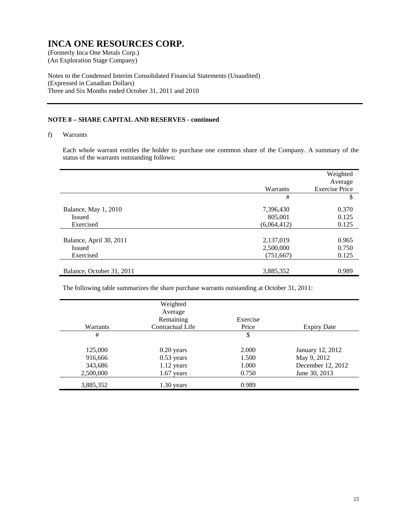(An Exploration Stage Company)

Notes to the Condensed Interim Consolidated Financial Statements (Unaudited) (Expressed in Canadian Dollars) Three and Six Months ended October 31, 2011 and 2010

### **NOTE 8 – SHARE CAPITAL AND RESERVES - continued**

f) Warrants

Each whole warrant entitles the holder to purchase one common share of the Company. A summary of the status of the warrants outstanding follows:

|                           |             | Weighted              |
|---------------------------|-------------|-----------------------|
|                           |             | Average               |
|                           | Warrants    | <b>Exercise Price</b> |
|                           | #           | \$                    |
| Balance, May 1, 2010      | 7,396,430   | 0.370                 |
| <b>Issued</b>             | 805,001     | 0.125                 |
| Exercised                 | (6,064,412) | 0.125                 |
|                           |             |                       |
| Balance, April 30, 2011   | 2,137,019   | 0.965                 |
| <b>Issued</b>             | 2,500,000   | 0.750                 |
| Exercised                 | (751,667)   | 0.125                 |
|                           |             |                       |
| Balance, October 31, 2011 | 3,885,352   | 0.989                 |

The following table summarizes the share purchase warrants outstanding at October 31, 2011:

| Warrants  | Weighted<br>Average<br>Remaining<br>Contractual Life | Exercise<br>Price | <b>Expiry Date</b> |
|-----------|------------------------------------------------------|-------------------|--------------------|
| #         |                                                      | \$                |                    |
| 125,000   | $0.20$ years                                         | 2.000             | January 12, 2012   |
| 916,666   | $0.53$ years                                         | 1.500             | May 9, 2012        |
| 343,686   | 1.12 years                                           | 1.000             | December 12, 2012  |
| 2,500,000 | $1.67$ years                                         | 0.750             | June 30, 2013      |
| 3,885,352 | $1.30$ years                                         | 0.989             |                    |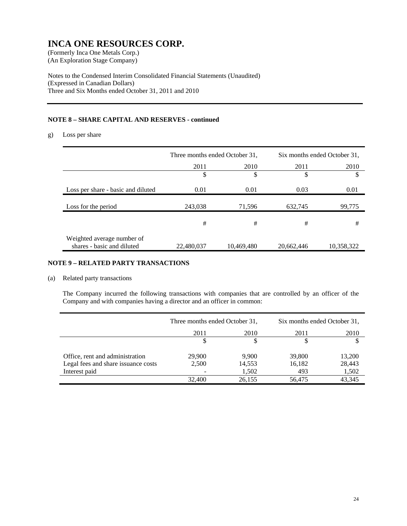(An Exploration Stage Company)

Notes to the Condensed Interim Consolidated Financial Statements (Unaudited) (Expressed in Canadian Dollars) Three and Six Months ended October 31, 2011 and 2010

### **NOTE 8 – SHARE CAPITAL AND RESERVES - continued**

g) Loss per share

|                                                          | Three months ended October 31, |            | Six months ended October 31, |            |
|----------------------------------------------------------|--------------------------------|------------|------------------------------|------------|
|                                                          | 2011                           | 2010       | 2011                         | 2010       |
|                                                          | \$                             | \$         | \$                           | S          |
| Loss per share - basic and diluted                       | 0.01                           | 0.01       | 0.03                         | 0.01       |
| Loss for the period                                      | 243,038                        | 71,596     | 632,745                      | 99,775     |
|                                                          | #                              | #          | #                            | #          |
| Weighted average number of<br>shares - basic and diluted | 22,480,037                     | 10,469,480 | 20,662,446                   | 10,358,322 |

### **NOTE 9 – RELATED PARTY TRANSACTIONS**

### (a) Related party transactions

The Company incurred the following transactions with companies that are controlled by an officer of the Company and with companies having a director and an officer in common:

|                                     | Three months ended October 31, |        | Six months ended October 31, |        |
|-------------------------------------|--------------------------------|--------|------------------------------|--------|
|                                     | 2011                           | 2010   | 2011                         | 2010   |
|                                     |                                |        |                              |        |
| Office, rent and administration     | 29,900                         | 9,900  | 39,800                       | 13,200 |
| Legal fees and share issuance costs | 2,500                          | 14,553 | 16,182                       | 28,443 |
| Interest paid                       |                                | 1,502  | 493                          | 1,502  |
|                                     | 32,400                         | 26,155 | 56,475                       | 43,345 |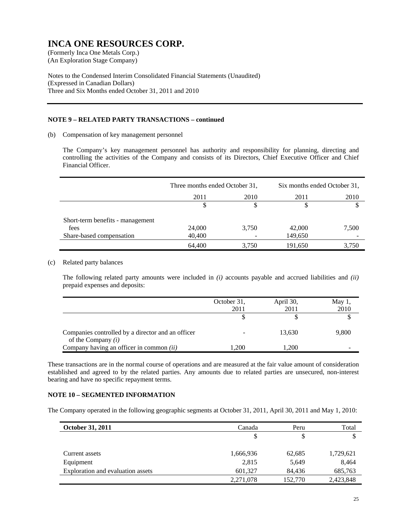(An Exploration Stage Company)

Notes to the Condensed Interim Consolidated Financial Statements (Unaudited) (Expressed in Canadian Dollars) Three and Six Months ended October 31, 2011 and 2010

### **NOTE 9 – RELATED PARTY TRANSACTIONS – continued**

(b) Compensation of key management personnel

The Company's key management personnel has authority and responsibility for planning, directing and controlling the activities of the Company and consists of its Directors, Chief Executive Officer and Chief Financial Officer.

|                                  | Three months ended October 31, |       | Six months ended October 31, |       |
|----------------------------------|--------------------------------|-------|------------------------------|-------|
|                                  | 2011                           | 2010  | 2011                         | 2010  |
|                                  |                                |       | J.                           |       |
| Short-term benefits - management |                                |       |                              |       |
| fees                             | 24,000                         | 3,750 | 42,000                       | 7,500 |
| Share-based compensation         | 40,400                         |       | 149,650                      |       |
|                                  | 64,400                         | 3,750 | 191,650                      | 3,750 |

### (c) Related party balances

The following related party amounts were included in *(i)* accounts payable and accrued liabilities and *(ii)* prepaid expenses and deposits:

|                                                                           | October 31,<br>2011 | April 30,<br>2011 | May $1$ ,<br>2010 |
|---------------------------------------------------------------------------|---------------------|-------------------|-------------------|
|                                                                           |                     |                   |                   |
| Companies controlled by a director and an officer<br>of the Company $(i)$ |                     | 13.630            | 9,800             |
| Company having an officer in common (ii)                                  | 1.200               | 1.200             |                   |

These transactions are in the normal course of operations and are measured at the fair value amount of consideration established and agreed to by the related parties. Any amounts due to related parties are unsecured, non-interest bearing and have no specific repayment terms.

#### **NOTE 10 – SEGMENTED INFORMATION**

The Company operated in the following geographic segments at October 31, 2011, April 30, 2011 and May 1, 2010:

| October 31, 2011                  | Canada    | Peru    |           |
|-----------------------------------|-----------|---------|-----------|
|                                   | S         | \$      |           |
|                                   |           |         |           |
| Current assets                    | 1,666,936 | 62,685  | 1,729,621 |
| Equipment                         | 2,815     | 5,649   | 8,464     |
| Exploration and evaluation assets | 601,327   | 84,436  | 685,763   |
|                                   | 2,271,078 | 152,770 | 2,423,848 |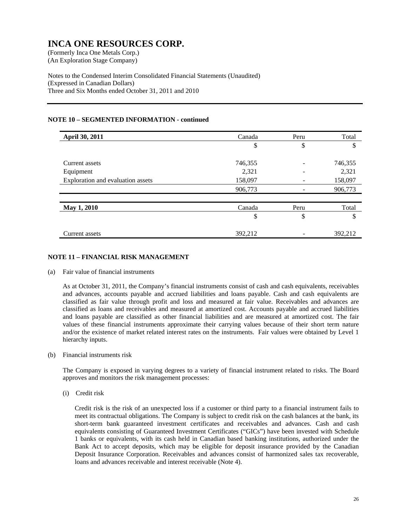(An Exploration Stage Company)

Notes to the Condensed Interim Consolidated Financial Statements (Unaudited) (Expressed in Canadian Dollars) Three and Six Months ended October 31, 2011 and 2010

### **NOTE 10 – SEGMENTED INFORMATION - continued**

| April 30, 2011                    | Canada  | Peru | Total   |
|-----------------------------------|---------|------|---------|
|                                   | \$      | \$   | \$      |
| Current assets                    | 746,355 | -    | 746,355 |
| Equipment                         | 2,321   |      | 2,321   |
| Exploration and evaluation assets | 158,097 | ۰    | 158,097 |
|                                   | 906,773 |      | 906,773 |
|                                   |         |      |         |
| May 1, 2010                       | Canada  | Peru | Total   |
|                                   | \$      | \$   | \$      |
| Current assets                    | 392.212 |      | 392.212 |

### **NOTE 11 – FINANCIAL RISK MANAGEMENT**

#### (a) Fair value of financial instruments

As at October 31, 2011, the Company's financial instruments consist of cash and cash equivalents, receivables and advances, accounts payable and accrued liabilities and loans payable. Cash and cash equivalents are classified as fair value through profit and loss and measured at fair value. Receivables and advances are classified as loans and receivables and measured at amortized cost. Accounts payable and accrued liabilities and loans payable are classified as other financial liabilities and are measured at amortized cost. The fair values of these financial instruments approximate their carrying values because of their short term nature and/or the existence of market related interest rates on the instruments. Fair values were obtained by Level 1 hierarchy inputs.

#### (b) Financial instruments risk

The Company is exposed in varying degrees to a variety of financial instrument related to risks. The Board approves and monitors the risk management processes:

(i) Credit risk

Credit risk is the risk of an unexpected loss if a customer or third party to a financial instrument fails to meet its contractual obligations. The Company is subject to credit risk on the cash balances at the bank, its short-term bank guaranteed investment certificates and receivables and advances. Cash and cash equivalents consisting of Guaranteed Investment Certificates ("GICs") have been invested with Schedule 1 banks or equivalents, with its cash held in Canadian based banking institutions, authorized under the Bank Act to accept deposits, which may be eligible for deposit insurance provided by the Canadian Deposit Insurance Corporation. Receivables and advances consist of harmonized sales tax recoverable, loans and advances receivable and interest receivable (Note 4).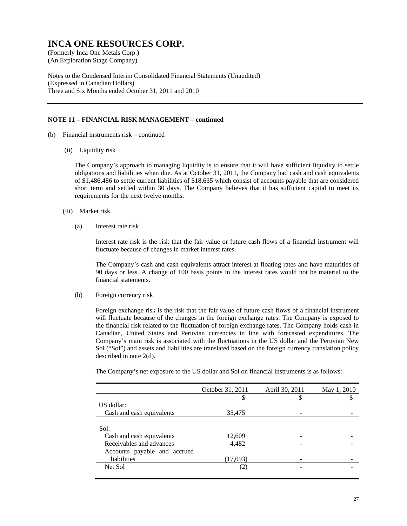(An Exploration Stage Company)

Notes to the Condensed Interim Consolidated Financial Statements (Unaudited) (Expressed in Canadian Dollars) Three and Six Months ended October 31, 2011 and 2010

#### **NOTE 11 – FINANCIAL RISK MANAGEMENT – continued**

- (b) Financial instruments risk continued
	- (ii) Liquidity risk

The Company's approach to managing liquidity is to ensure that it will have sufficient liquidity to settle obligations and liabilities when due. As at October 31, 2011, the Company had cash and cash equivalents of \$1,486,486 to settle current liabilities of \$18,635 which consist of accounts payable that are considered short term and settled within 30 days. The Company believes that it has sufficient capital to meet its requirements for the next twelve months.

- (iii) Market risk
	- (a) Interest rate risk

Interest rate risk is the risk that the fair value or future cash flows of a financial instrument will fluctuate because of changes in market interest rates.

The Company's cash and cash equivalents attract interest at floating rates and have maturities of 90 days or less. A change of 100 basis points in the interest rates would not be material to the financial statements.

(b) Foreign currency risk

Foreign exchange risk is the risk that the fair value of future cash flows of a financial instrument will fluctuate because of the changes in the foreign exchange rates. The Company is exposed to the financial risk related to the fluctuation of foreign exchange rates. The Company holds cash in Canadian, United States and Peruvian currencies in line with forecasted expenditures. The Company's main risk is associated with the fluctuations in the US dollar and the Peruvian New Sol ("Sol") and assets and liabilities are translated based on the foreign currency translation policy described in note 2(d).

The Company's net exposure to the US dollar and Sol on financial instruments is as follows:

|                              | October 31, 2011 | April 30, 2011 | May 1, 2010 |
|------------------------------|------------------|----------------|-------------|
|                              | \$               | \$             |             |
| US dollar:                   |                  |                |             |
| Cash and cash equivalents    | 35,475           |                |             |
|                              |                  |                |             |
| Sol:                         |                  |                |             |
| Cash and cash equivalents    | 12,609           |                |             |
| Receivables and advances     | 4,482            |                |             |
| Accounts payable and accrued |                  |                |             |
| liabilities                  | (17,093)         |                |             |
| Net Sol                      | (2)              |                |             |
|                              |                  |                |             |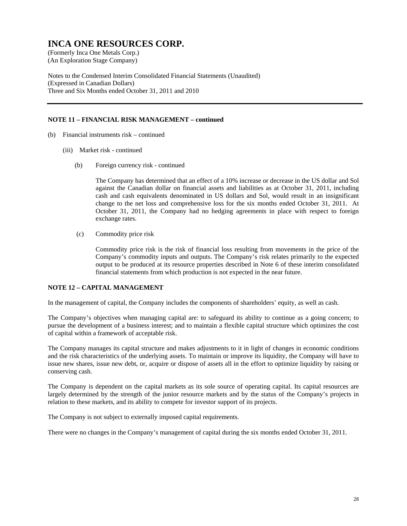(An Exploration Stage Company)

Notes to the Condensed Interim Consolidated Financial Statements (Unaudited) (Expressed in Canadian Dollars) Three and Six Months ended October 31, 2011 and 2010

### **NOTE 11 – FINANCIAL RISK MANAGEMENT – continued**

- (b) Financial instruments risk continued
	- (iii) Market risk continued
		- (b) Foreign currency risk continued

The Company has determined that an effect of a 10% increase or decrease in the US dollar and Sol against the Canadian dollar on financial assets and liabilities as at October 31, 2011, including cash and cash equivalents denominated in US dollars and Sol, would result in an insignificant change to the net loss and comprehensive loss for the six months ended October 31, 2011. At October 31, 2011, the Company had no hedging agreements in place with respect to foreign exchange rates.

(c) Commodity price risk

Commodity price risk is the risk of financial loss resulting from movements in the price of the Company's commodity inputs and outputs. The Company's risk relates primarily to the expected output to be produced at its resource properties described in Note 6 of these interim consolidated financial statements from which production is not expected in the near future.

#### **NOTE 12 – CAPITAL MANAGEMENT**

In the management of capital, the Company includes the components of shareholders' equity, as well as cash.

The Company's objectives when managing capital are: to safeguard its ability to continue as a going concern; to pursue the development of a business interest; and to maintain a flexible capital structure which optimizes the cost of capital within a framework of acceptable risk.

The Company manages its capital structure and makes adjustments to it in light of changes in economic conditions and the risk characteristics of the underlying assets. To maintain or improve its liquidity, the Company will have to issue new shares, issue new debt, or, acquire or dispose of assets all in the effort to optimize liquidity by raising or conserving cash.

The Company is dependent on the capital markets as its sole source of operating capital. Its capital resources are largely determined by the strength of the junior resource markets and by the status of the Company's projects in relation to these markets, and its ability to compete for investor support of its projects.

The Company is not subject to externally imposed capital requirements.

There were no changes in the Company's management of capital during the six months ended October 31, 2011.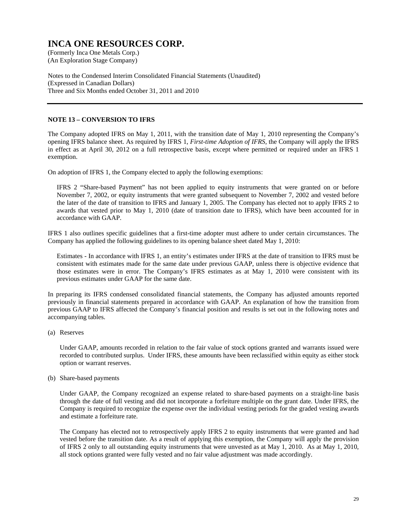(An Exploration Stage Company)

Notes to the Condensed Interim Consolidated Financial Statements (Unaudited) (Expressed in Canadian Dollars) Three and Six Months ended October 31, 2011 and 2010

### **NOTE 13 – CONVERSION TO IFRS**

The Company adopted IFRS on May 1, 2011, with the transition date of May 1, 2010 representing the Company's opening IFRS balance sheet. As required by IFRS 1, *First-time Adoption of IFRS*, the Company will apply the IFRS in effect as at April 30, 2012 on a full retrospective basis, except where permitted or required under an IFRS 1 exemption.

On adoption of IFRS 1, the Company elected to apply the following exemptions:

IFRS 2 "Share-based Payment" has not been applied to equity instruments that were granted on or before November 7, 2002, or equity instruments that were granted subsequent to November 7, 2002 and vested before the later of the date of transition to IFRS and January 1, 2005. The Company has elected not to apply IFRS 2 to awards that vested prior to May 1, 2010 (date of transition date to IFRS), which have been accounted for in accordance with GAAP.

IFRS 1 also outlines specific guidelines that a first-time adopter must adhere to under certain circumstances. The Company has applied the following guidelines to its opening balance sheet dated May 1, 2010:

Estimates - In accordance with IFRS 1, an entity's estimates under IFRS at the date of transition to IFRS must be consistent with estimates made for the same date under previous GAAP, unless there is objective evidence that those estimates were in error. The Company's IFRS estimates as at May 1, 2010 were consistent with its previous estimates under GAAP for the same date.

In preparing its IFRS condensed consolidated financial statements, the Company has adjusted amounts reported previously in financial statements prepared in accordance with GAAP. An explanation of how the transition from previous GAAP to IFRS affected the Company's financial position and results is set out in the following notes and accompanying tables.

(a) Reserves

Under GAAP, amounts recorded in relation to the fair value of stock options granted and warrants issued were recorded to contributed surplus. Under IFRS, these amounts have been reclassified within equity as either stock option or warrant reserves.

(b) Share-based payments

Under GAAP, the Company recognized an expense related to share-based payments on a straight-line basis through the date of full vesting and did not incorporate a forfeiture multiple on the grant date. Under IFRS, the Company is required to recognize the expense over the individual vesting periods for the graded vesting awards and estimate a forfeiture rate.

The Company has elected not to retrospectively apply IFRS 2 to equity instruments that were granted and had vested before the transition date. As a result of applying this exemption, the Company will apply the provision of IFRS 2 only to all outstanding equity instruments that were unvested as at May 1, 2010. As at May 1, 2010, all stock options granted were fully vested and no fair value adjustment was made accordingly.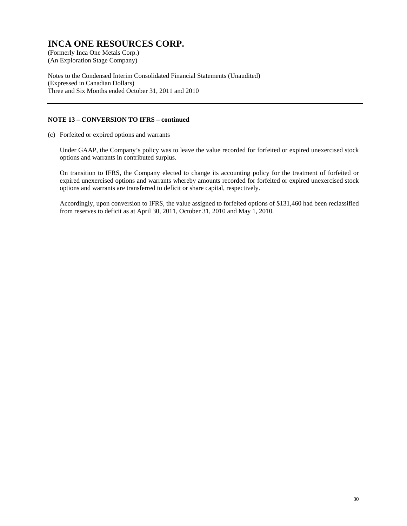(An Exploration Stage Company)

Notes to the Condensed Interim Consolidated Financial Statements (Unaudited) (Expressed in Canadian Dollars) Three and Six Months ended October 31, 2011 and 2010

### **NOTE 13 – CONVERSION TO IFRS – continued**

(c) Forfeited or expired options and warrants

Under GAAP, the Company's policy was to leave the value recorded for forfeited or expired unexercised stock options and warrants in contributed surplus.

On transition to IFRS, the Company elected to change its accounting policy for the treatment of forfeited or expired unexercised options and warrants whereby amounts recorded for forfeited or expired unexercised stock options and warrants are transferred to deficit or share capital, respectively.

Accordingly, upon conversion to IFRS, the value assigned to forfeited options of \$131,460 had been reclassified from reserves to deficit as at April 30, 2011, October 31, 2010 and May 1, 2010.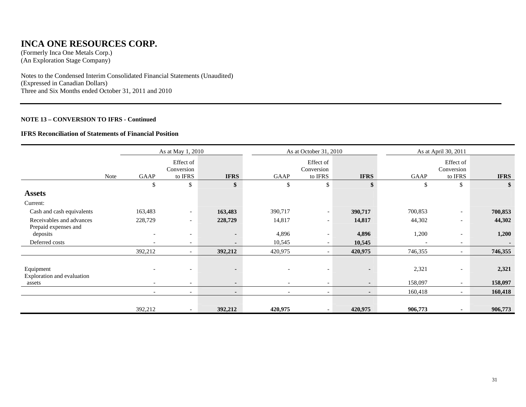### **INCA ONE RESOURCES CORP.**

(Formerly Inca One Metals Corp.) (An Exploration Stage Company)

Notes to the Condensed Interim Consolidated Financial Statements (Unaudited) (Expressed in Canadian Dollars) Three and Six Months ended October 31, 2011 and 2010

### **NOTE 13 – CONVERSION TO IFRS - Continued**

#### **IFRS Reconciliation of Statements of Financial Position**

|                                                  | As at May 1, 2010 |                          |                                    |                          |                          | As at October 31, 2010             |                | As at April 30, 2011 |                                    |             |
|--------------------------------------------------|-------------------|--------------------------|------------------------------------|--------------------------|--------------------------|------------------------------------|----------------|----------------------|------------------------------------|-------------|
|                                                  | <b>Note</b>       | GAAP                     | Effect of<br>Conversion<br>to IFRS | <b>IFRS</b>              | GAAP                     | Effect of<br>Conversion<br>to IFRS | <b>IFRS</b>    | GAAP                 | Effect of<br>Conversion<br>to IFRS | <b>IFRS</b> |
|                                                  |                   | \$                       | \$                                 | \$                       | $\$$                     | $\mathbb{S}$                       | \$             | \$                   | \$                                 |             |
| <b>Assets</b>                                    |                   |                          |                                    |                          |                          |                                    |                |                      |                                    |             |
| Current:                                         |                   |                          |                                    |                          |                          |                                    |                |                      |                                    |             |
| Cash and cash equivalents                        |                   | 163,483                  | $\overline{\phantom{a}}$           | 163,483                  | 390,717                  | $\overline{\phantom{a}}$           | 390,717        | 700,853              | $\overline{\phantom{a}}$           | 700,853     |
| Receivables and advances<br>Prepaid expenses and |                   | 228,729                  | $\overline{\phantom{a}}$           | 228,729                  | 14,817                   | $\overline{\phantom{a}}$           | 14,817         | 44,302               | $\overline{\phantom{a}}$           | 44,302      |
| deposits                                         |                   |                          |                                    | $\overline{\phantom{a}}$ | 4,896                    | $\overline{\phantom{a}}$           | 4,896          | 1,200                |                                    | 1,200       |
| Deferred costs                                   |                   | $\overline{\phantom{a}}$ | $\overline{\phantom{a}}$           |                          | 10,545                   |                                    | 10,545         |                      | $\overline{\phantom{a}}$           |             |
|                                                  |                   | 392,212                  |                                    | 392,212                  | 420,975                  |                                    | 420,975        | 746,355              | $\overline{\phantom{0}}$           | 746,355     |
| Equipment<br>Exploration and evaluation          |                   |                          | $\overline{\phantom{a}}$           | $\blacksquare$           | $\overline{\phantom{0}}$ | $\overline{\phantom{a}}$           | $\blacksquare$ | 2,321                | $\overline{\phantom{a}}$           | 2,321       |
| assets                                           |                   | $\overline{\phantom{0}}$ | $\overline{\phantom{0}}$           | $\blacksquare$           |                          | $\overline{\phantom{0}}$           | $\sim$         | 158,097              | $\overline{\phantom{a}}$           | 158,097     |
|                                                  |                   | $\overline{\phantom{a}}$ | $\overline{\phantom{0}}$           | $\blacksquare$           | $\overline{\phantom{0}}$ | $\overline{\phantom{a}}$           | $\sim$         | 160,418              | $\overline{\phantom{a}}$           | 160,418     |
|                                                  |                   |                          |                                    |                          |                          |                                    |                |                      |                                    |             |
|                                                  |                   | 392,212                  |                                    | 392,212                  | 420,975                  |                                    | 420,975        | 906,773              |                                    | 906,773     |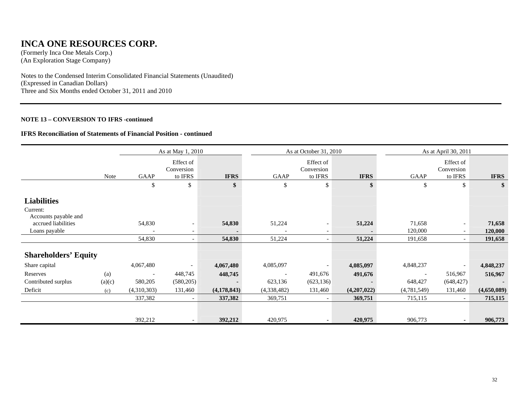### **INCA ONE RESOURCES CORP.**

(Formerly Inca One Metals Corp.) (An Exploration Stage Company)

Notes to the Condensed Interim Consolidated Financial Statements (Unaudited) (Expressed in Canadian Dollars) Three and Six Months ended October 31, 2011 and 2010

### **NOTE 13 – CONVERSION TO IFRS -continued**

#### **IFRS Reconciliation of Statements of Financial Position - continued**

|                                                        | As at May 1, 2010 |                          |                                    |             |             | As at October 31, 2010             |             | As at April 30, 2011     |                                    |             |
|--------------------------------------------------------|-------------------|--------------------------|------------------------------------|-------------|-------------|------------------------------------|-------------|--------------------------|------------------------------------|-------------|
|                                                        | Note              | GAAP                     | Effect of<br>Conversion<br>to IFRS | <b>IFRS</b> | GAAP        | Effect of<br>Conversion<br>to IFRS | <b>IFRS</b> | GAAP                     | Effect of<br>Conversion<br>to IFRS | <b>IFRS</b> |
|                                                        |                   | \$                       | \$                                 | \$          | \$          | \$                                 | \$          | \$                       | \$                                 | \$          |
| <b>Liabilities</b><br>Current:<br>Accounts payable and |                   |                          |                                    |             |             |                                    |             |                          |                                    |             |
| accrued liabilities                                    |                   | 54,830                   |                                    | 54,830      | 51,224      | $\overline{\phantom{a}}$           | 51,224      | 71,658                   | $\overline{\phantom{a}}$           | 71,658      |
| Loans payable                                          |                   | $\blacksquare$           | $\overline{\phantom{a}}$           |             |             | $\overline{\phantom{a}}$           |             | 120,000                  | $\overline{\phantom{0}}$           | 120,000     |
|                                                        |                   | 54,830                   | $\overline{\phantom{a}}$           | 54,830      | 51,224      |                                    | 51,224      | 191,658                  | $\overline{\phantom{a}}$           | 191,658     |
| <b>Shareholders' Equity</b>                            |                   |                          |                                    |             |             |                                    |             |                          |                                    |             |
| Share capital                                          |                   | 4,067,480                | $\overline{\phantom{a}}$           | 4,067,480   | 4,085,097   | $\overline{\phantom{a}}$           | 4,085,097   | 4,848,237                | $\overline{\phantom{a}}$           | 4,848,237   |
| Reserves                                               | (a)               | $\overline{\phantom{a}}$ | 448,745                            | 448,745     |             | 491,676                            | 491,676     | $\overline{\phantom{a}}$ | 516,967                            | 516,967     |
| Contributed surplus                                    | (a)(c)            | 580,205                  | (580, 205)                         |             | 623,136     | (623, 136)                         |             | 648,427                  | (648, 427)                         |             |
| Deficit                                                | (c)               | (4,310,303)              | 131,460                            | (4,178,843) | (4,338,482) | 131,460                            | (4,207,022) | (4,781,549)              | 131,460                            | (4,650,089) |
|                                                        |                   | 337,382                  | $\overline{\phantom{a}}$           | 337,382     | 369,751     |                                    | 369,751     | 715,115                  |                                    | 715,115     |
|                                                        |                   | 392,212                  |                                    | 392,212     | 420,975     |                                    | 420,975     | 906,773                  | $\blacksquare$                     | 906,773     |